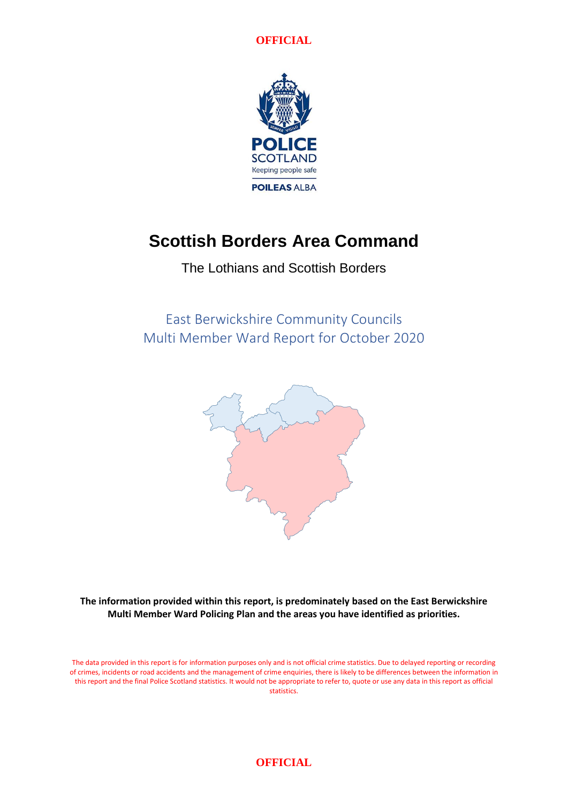**OFFICIAL**



# **Scottish Borders Area Command**

The Lothians and Scottish Borders

East Berwickshire Community Councils Multi Member Ward Report for October 2020



**The information provided within this report, is predominately based on the East Berwickshire Multi Member Ward Policing Plan and the areas you have identified as priorities.**

The data provided in this report is for information purposes only and is not official crime statistics. Due to delayed reporting or recording of crimes, incidents or road accidents and the management of crime enquiries, there is likely to be differences between the information in this report and the final Police Scotland statistics. It would not be appropriate to refer to, quote or use any data in this report as official statistics.

#### **OFFICIAL**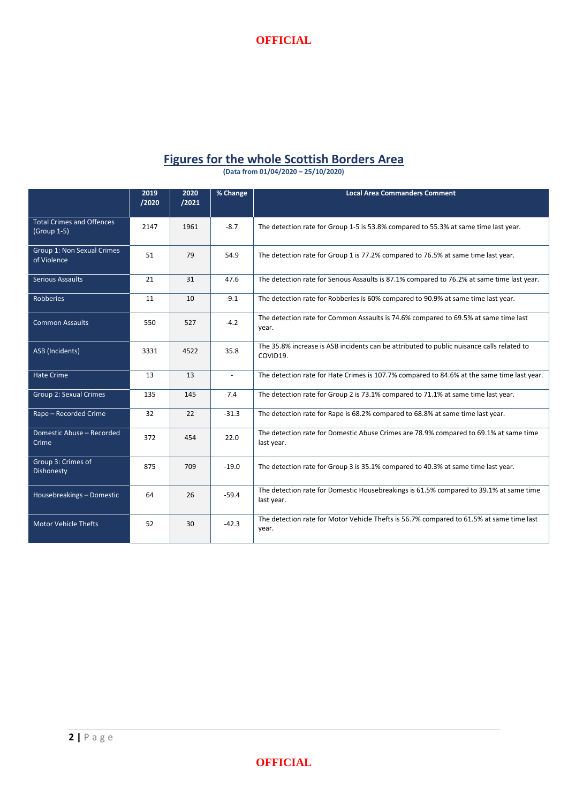

### **Figures for the whole Scottish Borders Area**

**(Data from 01/04/2020 – 25/10/2020)**

|                                                   | 2019<br>/2020 | 2020<br>/2021 | % Change                 | <b>Local Area Commanders Comment</b>                                                                  |
|---------------------------------------------------|---------------|---------------|--------------------------|-------------------------------------------------------------------------------------------------------|
| <b>Total Crimes and Offences</b><br>$(Group 1-5)$ | 2147          | 1961          | $-8.7$                   | The detection rate for Group 1-5 is 53.8% compared to 55.3% at same time last year.                   |
| Group 1: Non Sexual Crimes<br>of Violence         | 51            | 79            | 54.9                     | The detection rate for Group 1 is 77.2% compared to 76.5% at same time last year.                     |
| <b>Serious Assaults</b>                           | 21            | 31            | 47.6                     | The detection rate for Serious Assaults is 87.1% compared to 76.2% at same time last year.            |
| <b>Robberies</b>                                  | 11            | 10            | $-9.1$                   | The detection rate for Robberies is 60% compared to 90.9% at same time last year.                     |
| <b>Common Assaults</b>                            | 550           | 527           | $-4.2$                   | The detection rate for Common Assaults is 74.6% compared to 69.5% at same time last<br>year.          |
| <b>ASB</b> (Incidents)                            | 3331          | 4522          | 35.8                     | The 35.8% increase is ASB incidents can be attributed to public nuisance calls related to<br>COVID19. |
| <b>Hate Crime</b>                                 | 13            | 13            | $\overline{\phantom{a}}$ | The detection rate for Hate Crimes is 107.7% compared to 84.6% at the same time last year.            |
| <b>Group 2: Sexual Crimes</b>                     | 135           | 145           | 7.4                      | The detection rate for Group 2 is 73.1% compared to 71.1% at same time last year.                     |
| Rape - Recorded Crime                             | 32            | 22            | $-31.3$                  | The detection rate for Rape is 68.2% compared to 68.8% at same time last year.                        |
| Domestic Abuse - Recorded<br>Crime                | 372           | 454           | 22.0                     | The detection rate for Domestic Abuse Crimes are 78.9% compared to 69.1% at same time<br>last year.   |
| Group 3: Crimes of<br>Dishonesty                  | 875           | 709           | $-19.0$                  | The detection rate for Group 3 is 35.1% compared to 40.3% at same time last year.                     |
| Housebreakings - Domestic                         | 64            | 26            | $-59.4$                  | The detection rate for Domestic Housebreakings is 61.5% compared to 39.1% at same time<br>last year.  |
| <b>Motor Vehicle Thefts</b>                       | 52            | 30            | $-42.3$                  | The detection rate for Motor Vehicle Thefts is 56.7% compared to 61.5% at same time last<br>year.     |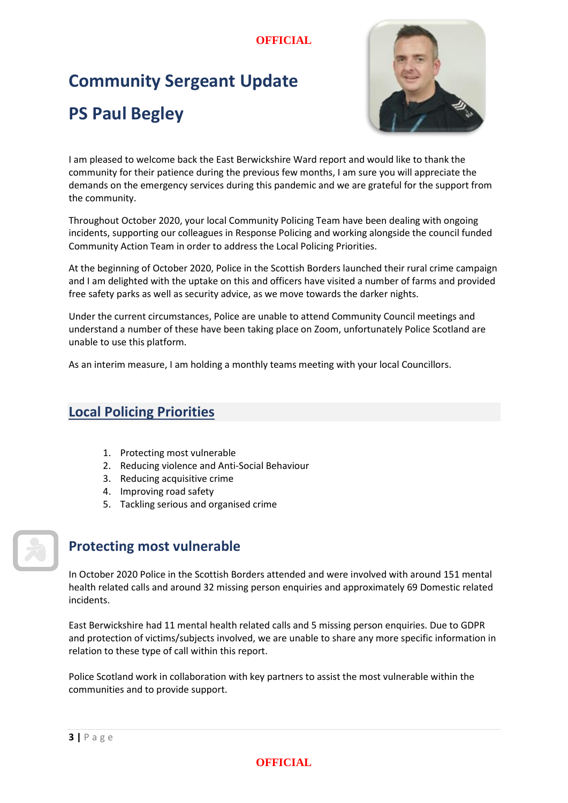### **OFFICIAL**

# **Community Sergeant Update PS Paul Begley**



I am pleased to welcome back the East Berwickshire Ward report and would like to thank the community for their patience during the previous few months, I am sure you will appreciate the demands on the emergency services during this pandemic and we are grateful for the support from the community.

Throughout October 2020, your local Community Policing Team have been dealing with ongoing incidents, supporting our colleagues in Response Policing and working alongside the council funded Community Action Team in order to address the Local Policing Priorities.

At the beginning of October 2020, Police in the Scottish Borders launched their rural crime campaign and I am delighted with the uptake on this and officers have visited a number of farms and provided free safety parks as well as security advice, as we move towards the darker nights.

Under the current circumstances, Police are unable to attend Community Council meetings and understand a number of these have been taking place on Zoom, unfortunately Police Scotland are unable to use this platform.

As an interim measure, I am holding a monthly teams meeting with your local Councillors.

# **Local Policing Priorities**

- 1. Protecting most vulnerable
- 2. Reducing violence and Anti-Social Behaviour
- 3. Reducing acquisitive crime
- 4. Improving road safety
- 5. Tackling serious and organised crime



# **Protecting most vulnerable**

In October 2020 Police in the Scottish Borders attended and were involved with around 151 mental health related calls and around 32 missing person enquiries and approximately 69 Domestic related incidents.

East Berwickshire had 11 mental health related calls and 5 missing person enquiries. Due to GDPR and protection of victims/subjects involved, we are unable to share any more specific information in relation to these type of call within this report.

Police Scotland work in collaboration with key partners to assist the most vulnerable within the communities and to provide support.

#### **OFFICIAL**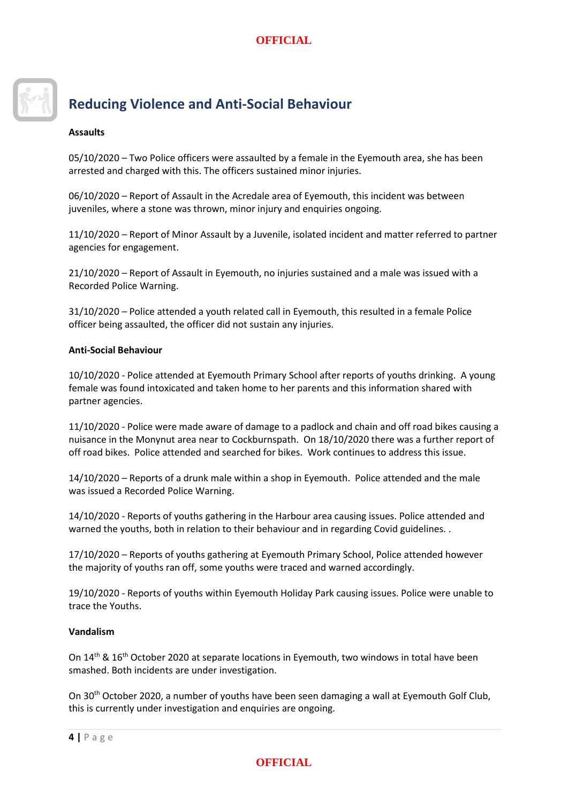

# **Reducing Violence and Anti-Social Behaviour**

#### **Assaults**

05/10/2020 – Two Police officers were assaulted by a female in the Eyemouth area, she has been arrested and charged with this. The officers sustained minor injuries.

06/10/2020 – Report of Assault in the Acredale area of Eyemouth, this incident was between juveniles, where a stone was thrown, minor injury and enquiries ongoing.

11/10/2020 – Report of Minor Assault by a Juvenile, isolated incident and matter referred to partner agencies for engagement.

21/10/2020 – Report of Assault in Eyemouth, no injuries sustained and a male was issued with a Recorded Police Warning.

31/10/2020 – Police attended a youth related call in Eyemouth, this resulted in a female Police officer being assaulted, the officer did not sustain any injuries.

#### **Anti-Social Behaviour**

10/10/2020 - Police attended at Eyemouth Primary School after reports of youths drinking. A young female was found intoxicated and taken home to her parents and this information shared with partner agencies.

11/10/2020 - Police were made aware of damage to a padlock and chain and off road bikes causing a nuisance in the Monynut area near to Cockburnspath. On 18/10/2020 there was a further report of off road bikes. Police attended and searched for bikes. Work continues to address this issue.

14/10/2020 – Reports of a drunk male within a shop in Eyemouth. Police attended and the male was issued a Recorded Police Warning.

14/10/2020 - Reports of youths gathering in the Harbour area causing issues. Police attended and warned the youths, both in relation to their behaviour and in regarding Covid guidelines. .

17/10/2020 – Reports of youths gathering at Eyemouth Primary School, Police attended however the majority of youths ran off, some youths were traced and warned accordingly.

19/10/2020 - Reports of youths within Eyemouth Holiday Park causing issues. Police were unable to trace the Youths.

#### **Vandalism**

On 14<sup>th</sup> & 16<sup>th</sup> October 2020 at separate locations in Eyemouth, two windows in total have been smashed. Both incidents are under investigation.

On 30th October 2020, a number of youths have been seen damaging a wall at Eyemouth Golf Club, this is currently under investigation and enquiries are ongoing.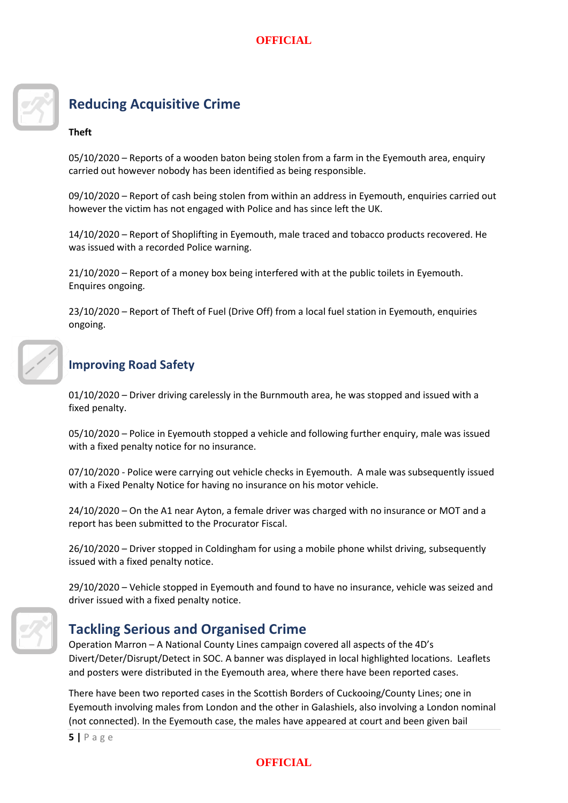

# **Reducing Acquisitive Crime**

#### **Theft**

05/10/2020 – Reports of a wooden baton being stolen from a farm in the Eyemouth area, enquiry carried out however nobody has been identified as being responsible.

09/10/2020 – Report of cash being stolen from within an address in Eyemouth, enquiries carried out however the victim has not engaged with Police and has since left the UK.

14/10/2020 – Report of Shoplifting in Eyemouth, male traced and tobacco products recovered. He was issued with a recorded Police warning.

21/10/2020 – Report of a money box being interfered with at the public toilets in Eyemouth. Enquires ongoing.

23/10/2020 – Report of Theft of Fuel (Drive Off) from a local fuel station in Eyemouth, enquiries ongoing.



# **Improving Road Safety**

01/10/2020 – Driver driving carelessly in the Burnmouth area, he was stopped and issued with a fixed penalty.

05/10/2020 – Police in Eyemouth stopped a vehicle and following further enquiry, male was issued with a fixed penalty notice for no insurance.

07/10/2020 - Police were carrying out vehicle checks in Eyemouth. A male was subsequently issued with a Fixed Penalty Notice for having no insurance on his motor vehicle.

24/10/2020 – On the A1 near Ayton, a female driver was charged with no insurance or MOT and a report has been submitted to the Procurator Fiscal.

26/10/2020 – Driver stopped in Coldingham for using a mobile phone whilst driving, subsequently issued with a fixed penalty notice.

29/10/2020 – Vehicle stopped in Eyemouth and found to have no insurance, vehicle was seized and driver issued with a fixed penalty notice.



# **Tackling Serious and Organised Crime**

Operation Marron – A National County Lines campaign covered all aspects of the 4D's Divert/Deter/Disrupt/Detect in SOC. A banner was displayed in local highlighted locations. Leaflets and posters were distributed in the Eyemouth area, where there have been reported cases.

There have been two reported cases in the Scottish Borders of Cuckooing/County Lines; one in Eyemouth involving males from London and the other in Galashiels, also involving a London nominal (not connected). In the Eyemouth case, the males have appeared at court and been given bail

**5 |** P a g e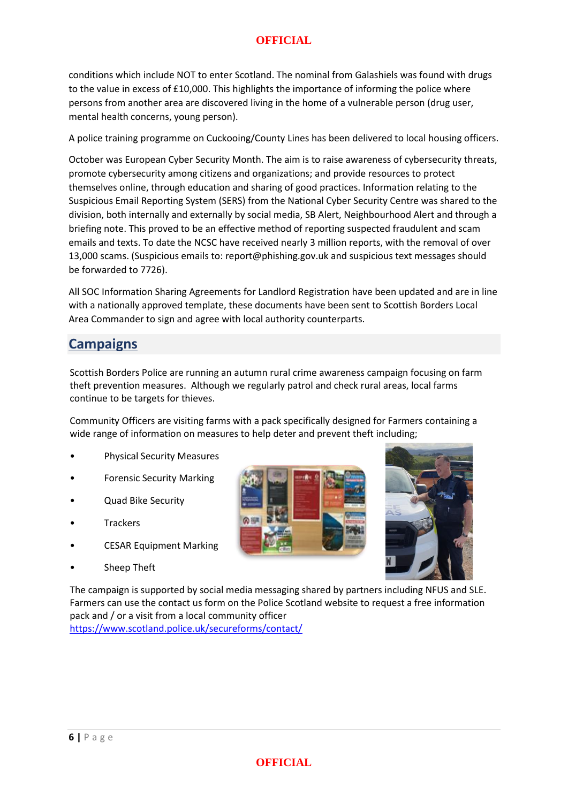#### **OFFICIAL**

conditions which include NOT to enter Scotland. The nominal from Galashiels was found with drugs to the value in excess of £10,000. This highlights the importance of informing the police where persons from another area are discovered living in the home of a vulnerable person (drug user, mental health concerns, young person).

A police training programme on Cuckooing/County Lines has been delivered to local housing officers.

October was European Cyber Security Month. The aim is to raise awareness of cybersecurity threats, promote cybersecurity among citizens and organizations; and provide resources to protect themselves online, through education and sharing of good practices. Information relating to the Suspicious Email Reporting System (SERS) from the National Cyber Security Centre was shared to the division, both internally and externally by social media, SB Alert, Neighbourhood Alert and through a briefing note. This proved to be an effective method of reporting suspected fraudulent and scam emails and texts. To date the NCSC have received nearly 3 million reports, with the removal of over 13,000 scams. (Suspicious emails to: report@phishing.gov.uk and suspicious text messages should be forwarded to 7726).

All SOC Information Sharing Agreements for Landlord Registration have been updated and are in line with a nationally approved template, these documents have been sent to Scottish Borders Local Area Commander to sign and agree with local authority counterparts.

# **Campaigns**

Scottish Borders Police are running an autumn rural crime awareness campaign focusing on farm theft prevention measures. Although we regularly patrol and check rural areas, local farms continue to be targets for thieves.

Community Officers are visiting farms with a pack specifically designed for Farmers containing a wide range of information on measures to help deter and prevent theft including;

- Physical Security Measures
- Forensic Security Marking
- Quad Bike Security
- **Trackers**
- CESAR Equipment Marking
- Sheep Theft





The campaign is supported by social media messaging shared by partners including NFUS and SLE. Farmers can use the contact us form on the Police Scotland website to request a free information pack and / or a visit from a local community officer

<https://www.scotland.police.uk/secureforms/contact/>